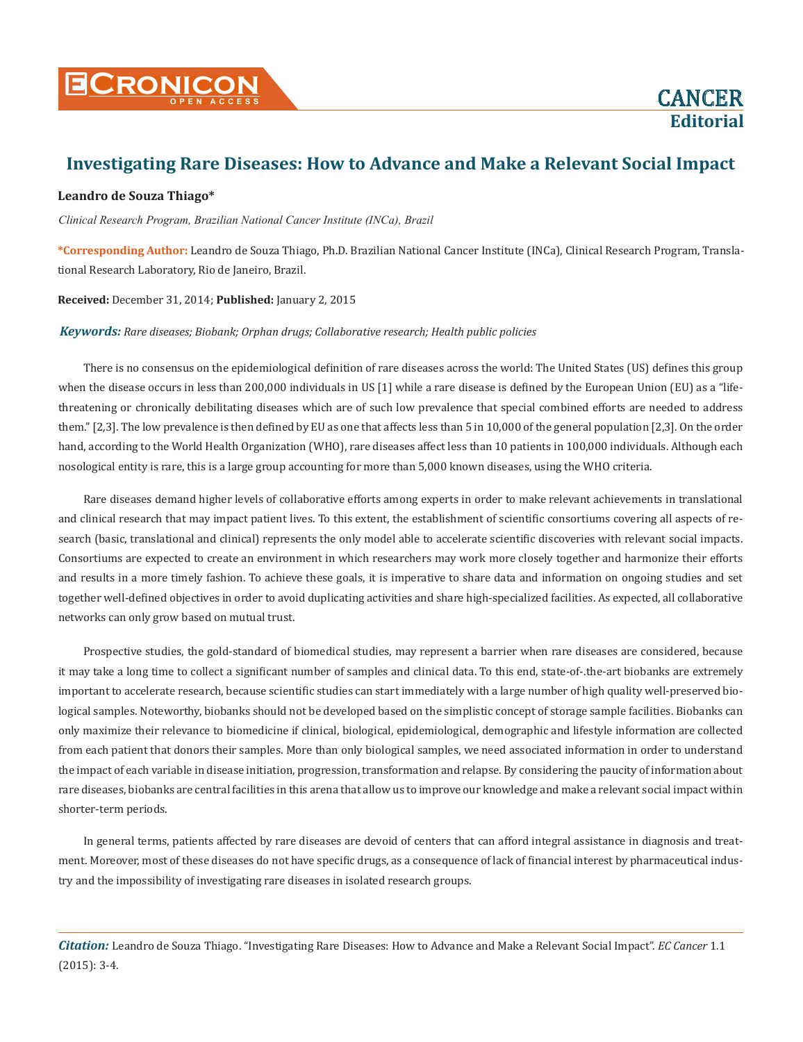

**Editorial**

# **Investigating Rare Diseases: How to Advance and Make a Relevant Social Impact**

### **Leandro de Souza Thiago\***

*Clinical Research Program, Brazilian National Cancer Institute (INCa), Brazil*

**\*Corresponding Author:** Leandro de Souza Thiago, Ph.D. Brazilian National Cancer Institute (INCa), Clinical Research Program, Translational Research Laboratory, Rio de Janeiro, Brazil.

**Received:** December 31, 2014; **Published:** January 2, 2015

#### *Keywords: Rare diseases; Biobank; Orphan drugs; Collaborative research; Health public policies*

There is no consensus on the epidemiological definition of rare diseases across the world: The United States (US) defines this group when the disease occurs in less than 200,000 individuals in US [1] while a rare disease is defined by the European Union (EU) as a "lifethreatening or chronically debilitating diseases which are of such low prevalence that special combined efforts are needed to address them." [2,3]. The low prevalence is then defined by EU as one that affects less than 5 in 10,000 of the general population [2,3]. On the order hand, according to the World Health Organization (WHO), rare diseases affect less than 10 patients in 100,000 individuals. Although each nosological entity is rare, this is a large group accounting for more than 5,000 known diseases, using the WHO criteria.

Rare diseases demand higher levels of collaborative efforts among experts in order to make relevant achievements in translational and clinical research that may impact patient lives. To this extent, the establishment of scientific consortiums covering all aspects of research (basic, translational and clinical) represents the only model able to accelerate scientific discoveries with relevant social impacts. Consortiums are expected to create an environment in which researchers may work more closely together and harmonize their efforts and results in a more timely fashion. To achieve these goals, it is imperative to share data and information on ongoing studies and set together well-defined objectives in order to avoid duplicating activities and share high-specialized facilities. As expected, all collaborative networks can only grow based on mutual trust.

Prospective studies, the gold-standard of biomedical studies, may represent a barrier when rare diseases are considered, because it may take a long time to collect a significant number of samples and clinical data. To this end, state-of-.the-art biobanks are extremely important to accelerate research, because scientific studies can start immediately with a large number of high quality well-preserved biological samples. Noteworthy, biobanks should not be developed based on the simplistic concept of storage sample facilities. Biobanks can only maximize their relevance to biomedicine if clinical, biological, epidemiological, demographic and lifestyle information are collected from each patient that donors their samples. More than only biological samples, we need associated information in order to understand the impact of each variable in disease initiation, progression, transformation and relapse. By considering the paucity of information about rare diseases, biobanks are central facilities in this arena that allow us to improve our knowledge and make a relevant social impact within shorter-term periods.

In general terms, patients affected by rare diseases are devoid of centers that can afford integral assistance in diagnosis and treatment. Moreover, most of these diseases do not have specific drugs, as a consequence of lack of financial interest by pharmaceutical industry and the impossibility of investigating rare diseases in isolated research groups.

*Citation:* Leandro de Souza Thiago. "Investigating Rare Diseases: How to Advance and Make a Relevant Social Impact". *EC Cancer* 1.1 (2015): 3-4.